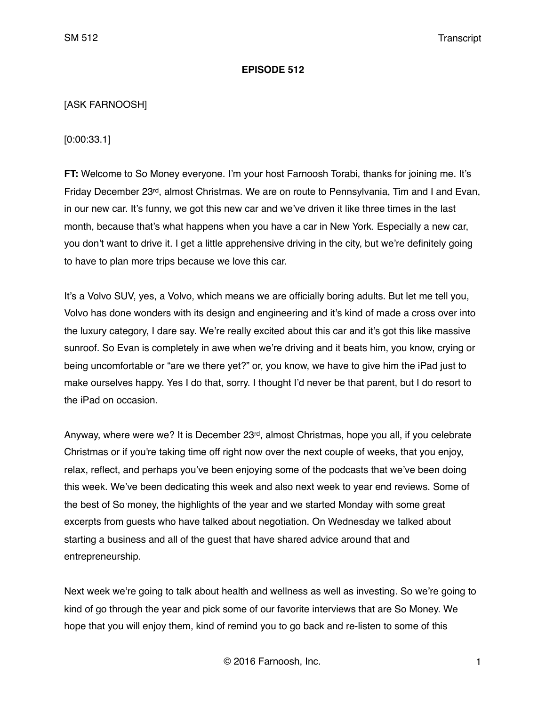### **EPISODE 512**

# [ASK FARNOOSH]

[0:00:33.1]

**FT:** Welcome to So Money everyone. I'm your host Farnoosh Torabi, thanks for joining me. It's Friday December 23rd, almost Christmas. We are on route to Pennsylvania, Tim and I and Evan, in our new car. It's funny, we got this new car and we've driven it like three times in the last month, because that's what happens when you have a car in New York. Especially a new car, you don't want to drive it. I get a little apprehensive driving in the city, but we're definitely going to have to plan more trips because we love this car.

It's a Volvo SUV, yes, a Volvo, which means we are officially boring adults. But let me tell you, Volvo has done wonders with its design and engineering and it's kind of made a cross over into the luxury category, I dare say. We're really excited about this car and it's got this like massive sunroof. So Evan is completely in awe when we're driving and it beats him, you know, crying or being uncomfortable or "are we there yet?" or, you know, we have to give him the iPad just to make ourselves happy. Yes I do that, sorry. I thought I'd never be that parent, but I do resort to the iPad on occasion.

Anyway, where were we? It is December  $23^{rd}$ , almost Christmas, hope you all, if you celebrate Christmas or if you're taking time off right now over the next couple of weeks, that you enjoy, relax, reflect, and perhaps you've been enjoying some of the podcasts that we've been doing this week. We've been dedicating this week and also next week to year end reviews. Some of the best of So money, the highlights of the year and we started Monday with some great excerpts from guests who have talked about negotiation. On Wednesday we talked about starting a business and all of the guest that have shared advice around that and entrepreneurship.

Next week we're going to talk about health and wellness as well as investing. So we're going to kind of go through the year and pick some of our favorite interviews that are So Money. We hope that you will enjoy them, kind of remind you to go back and re-listen to some of this

© 2016 Farnoosh, Inc. 1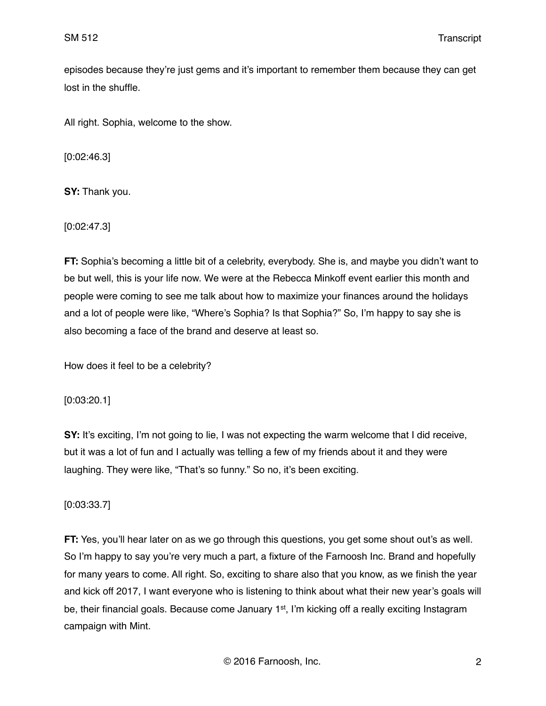episodes because they're just gems and it's important to remember them because they can get lost in the shuffle.

All right. Sophia, welcome to the show.

[0:02:46.3]

**SY:** Thank you.

[0:02:47.3]

**FT:** Sophia's becoming a little bit of a celebrity, everybody. She is, and maybe you didn't want to be but well, this is your life now. We were at the Rebecca Minkoff event earlier this month and people were coming to see me talk about how to maximize your finances around the holidays and a lot of people were like, "Where's Sophia? Is that Sophia?" So, I'm happy to say she is also becoming a face of the brand and deserve at least so.

How does it feel to be a celebrity?

[0:03:20.1]

**SY:** It's exciting, I'm not going to lie, I was not expecting the warm welcome that I did receive, but it was a lot of fun and I actually was telling a few of my friends about it and they were laughing. They were like, "That's so funny." So no, it's been exciting.

[0:03:33.7]

**FT:** Yes, you'll hear later on as we go through this questions, you get some shout out's as well. So I'm happy to say you're very much a part, a fixture of the Farnoosh Inc. Brand and hopefully for many years to come. All right. So, exciting to share also that you know, as we finish the year and kick off 2017, I want everyone who is listening to think about what their new year's goals will be, their financial goals. Because come January 1<sup>st</sup>, I'm kicking off a really exciting Instagram campaign with Mint.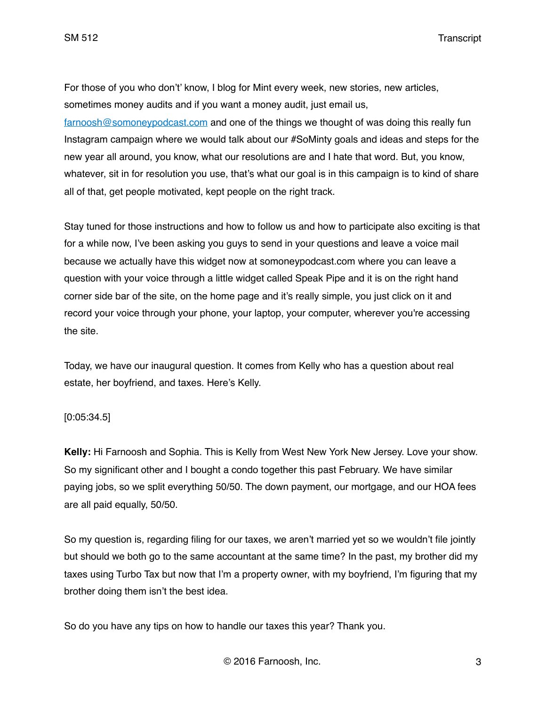For those of you who don't' know, I blog for Mint every week, new stories, new articles, sometimes money audits and if you want a money audit, just email us,

[farnoosh@somoneypodcast.com](mailto:farnoosh@somoneypodcast.com) and one of the things we thought of was doing this really fun Instagram campaign where we would talk about our #SoMinty goals and ideas and steps for the new year all around, you know, what our resolutions are and I hate that word. But, you know, whatever, sit in for resolution you use, that's what our goal is in this campaign is to kind of share all of that, get people motivated, kept people on the right track.

Stay tuned for those instructions and how to follow us and how to participate also exciting is that for a while now, I've been asking you guys to send in your questions and leave a voice mail because we actually have this widget now at somoneypodcast.com where you can leave a question with your voice through a little widget called Speak Pipe and it is on the right hand corner side bar of the site, on the home page and it's really simple, you just click on it and record your voice through your phone, your laptop, your computer, wherever you're accessing the site.

Today, we have our inaugural question. It comes from Kelly who has a question about real estate, her boyfriend, and taxes. Here's Kelly.

### [0:05:34.5]

**Kelly:** Hi Farnoosh and Sophia. This is Kelly from West New York New Jersey. Love your show. So my significant other and I bought a condo together this past February. We have similar paying jobs, so we split everything 50/50. The down payment, our mortgage, and our HOA fees are all paid equally, 50/50.

So my question is, regarding filing for our taxes, we aren't married yet so we wouldn't file jointly but should we both go to the same accountant at the same time? In the past, my brother did my taxes using Turbo Tax but now that I'm a property owner, with my boyfriend, I'm figuring that my brother doing them isn't the best idea.

So do you have any tips on how to handle our taxes this year? Thank you.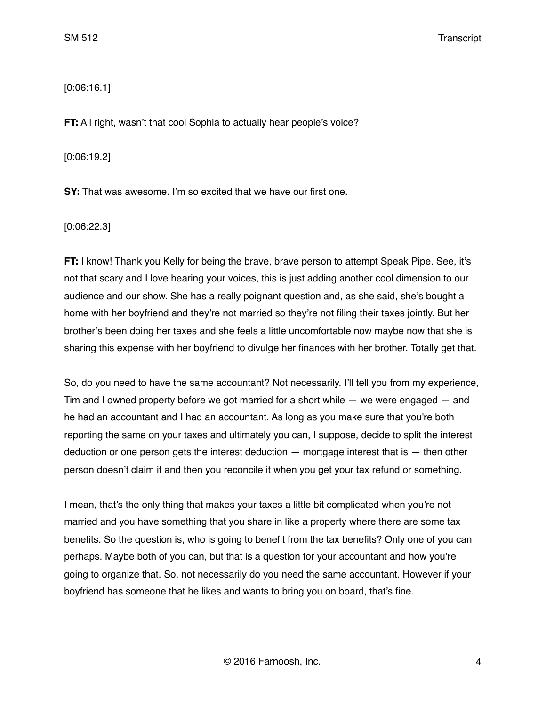# [0:06:16.1]

**FT:** All right, wasn't that cool Sophia to actually hear people's voice?

[0:06:19.2]

**SY:** That was awesome. I'm so excited that we have our first one.

[0:06:22.3]

**FT:** I know! Thank you Kelly for being the brave, brave person to attempt Speak Pipe. See, it's not that scary and I love hearing your voices, this is just adding another cool dimension to our audience and our show. She has a really poignant question and, as she said, she's bought a home with her boyfriend and they're not married so they're not filing their taxes jointly. But her brother's been doing her taxes and she feels a little uncomfortable now maybe now that she is sharing this expense with her boyfriend to divulge her finances with her brother. Totally get that.

So, do you need to have the same accountant? Not necessarily. I'll tell you from my experience, Tim and I owned property before we got married for a short while — we were engaged — and he had an accountant and I had an accountant. As long as you make sure that you're both reporting the same on your taxes and ultimately you can, I suppose, decide to split the interest deduction or one person gets the interest deduction — mortgage interest that is — then other person doesn't claim it and then you reconcile it when you get your tax refund or something.

I mean, that's the only thing that makes your taxes a little bit complicated when you're not married and you have something that you share in like a property where there are some tax benefits. So the question is, who is going to benefit from the tax benefits? Only one of you can perhaps. Maybe both of you can, but that is a question for your accountant and how you're going to organize that. So, not necessarily do you need the same accountant. However if your boyfriend has someone that he likes and wants to bring you on board, that's fine.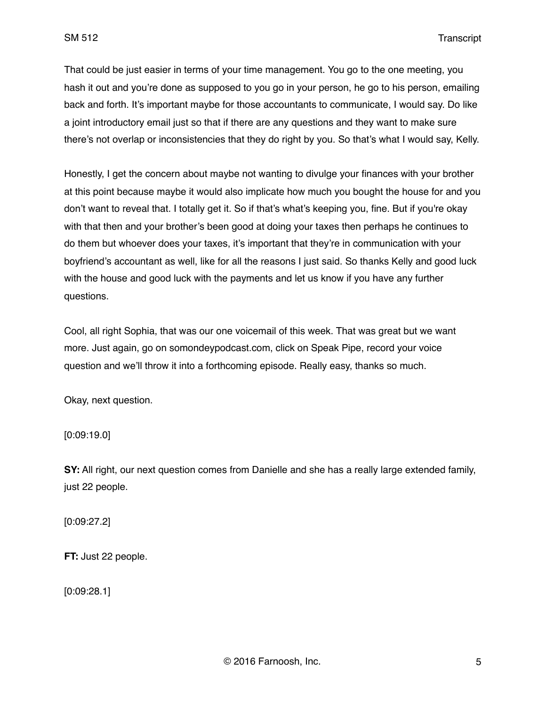That could be just easier in terms of your time management. You go to the one meeting, you hash it out and you're done as supposed to you go in your person, he go to his person, emailing back and forth. It's important maybe for those accountants to communicate, I would say. Do like a joint introductory email just so that if there are any questions and they want to make sure there's not overlap or inconsistencies that they do right by you. So that's what I would say, Kelly.

Honestly, I get the concern about maybe not wanting to divulge your finances with your brother at this point because maybe it would also implicate how much you bought the house for and you don't want to reveal that. I totally get it. So if that's what's keeping you, fine. But if you're okay with that then and your brother's been good at doing your taxes then perhaps he continues to do them but whoever does your taxes, it's important that they're in communication with your boyfriend's accountant as well, like for all the reasons I just said. So thanks Kelly and good luck with the house and good luck with the payments and let us know if you have any further questions.

Cool, all right Sophia, that was our one voicemail of this week. That was great but we want more. Just again, go on somondeypodcast.com, click on Speak Pipe, record your voice question and we'll throw it into a forthcoming episode. Really easy, thanks so much.

Okay, next question.

[0:09:19.0]

**SY:** All right, our next question comes from Danielle and she has a really large extended family, just 22 people.

[0:09:27.2]

**FT:** Just 22 people.

[0:09:28.1]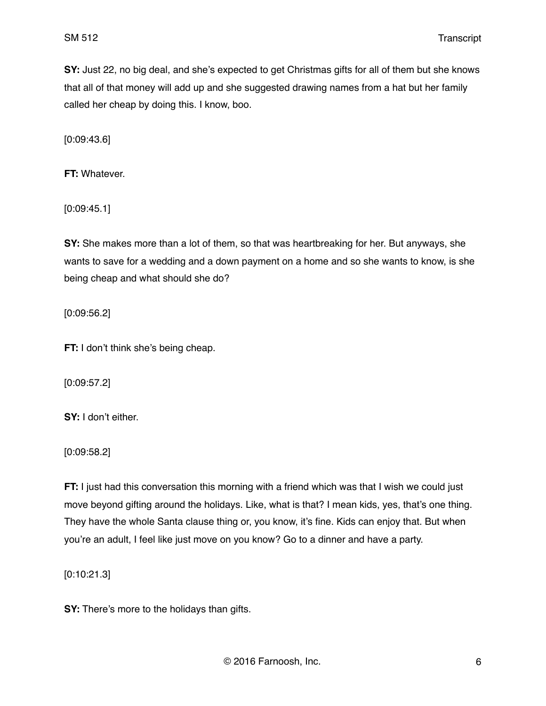**SY:** Just 22, no big deal, and she's expected to get Christmas gifts for all of them but she knows that all of that money will add up and she suggested drawing names from a hat but her family called her cheap by doing this. I know, boo.

[0:09:43.6]

**FT:** Whatever.

[0:09:45.1]

**SY:** She makes more than a lot of them, so that was heartbreaking for her. But anyways, she wants to save for a wedding and a down payment on a home and so she wants to know, is she being cheap and what should she do?

[0:09:56.2]

**FT:** I don't think she's being cheap.

[0:09:57.2]

**SY:** I don't either.

[0:09:58.2]

**FT:** I just had this conversation this morning with a friend which was that I wish we could just move beyond gifting around the holidays. Like, what is that? I mean kids, yes, that's one thing. They have the whole Santa clause thing or, you know, it's fine. Kids can enjoy that. But when you're an adult, I feel like just move on you know? Go to a dinner and have a party.

[0:10:21.3]

**SY:** There's more to the holidays than gifts.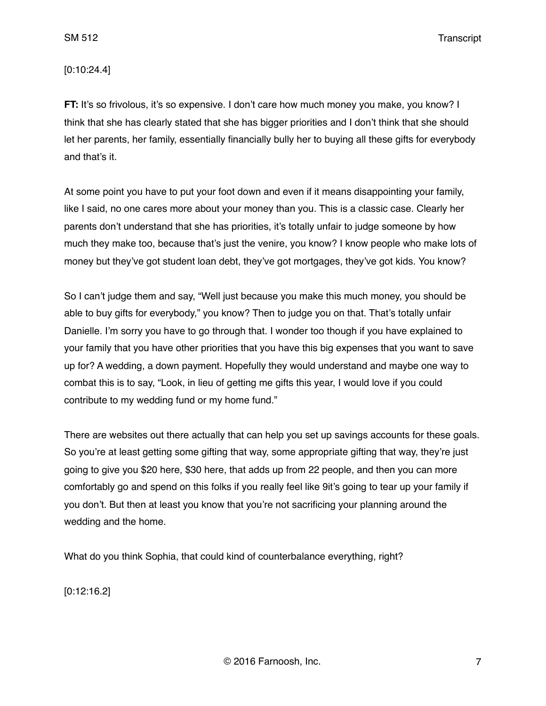### [0:10:24.4]

**FT:** It's so frivolous, it's so expensive. I don't care how much money you make, you know? I think that she has clearly stated that she has bigger priorities and I don't think that she should let her parents, her family, essentially financially bully her to buying all these gifts for everybody and that's it.

At some point you have to put your foot down and even if it means disappointing your family, like I said, no one cares more about your money than you. This is a classic case. Clearly her parents don't understand that she has priorities, it's totally unfair to judge someone by how much they make too, because that's just the venire, you know? I know people who make lots of money but they've got student loan debt, they've got mortgages, they've got kids. You know?

So I can't judge them and say, "Well just because you make this much money, you should be able to buy gifts for everybody," you know? Then to judge you on that. That's totally unfair Danielle. I'm sorry you have to go through that. I wonder too though if you have explained to your family that you have other priorities that you have this big expenses that you want to save up for? A wedding, a down payment. Hopefully they would understand and maybe one way to combat this is to say, "Look, in lieu of getting me gifts this year, I would love if you could contribute to my wedding fund or my home fund."

There are websites out there actually that can help you set up savings accounts for these goals. So you're at least getting some gifting that way, some appropriate gifting that way, they're just going to give you \$20 here, \$30 here, that adds up from 22 people, and then you can more comfortably go and spend on this folks if you really feel like 9it's going to tear up your family if you don't. But then at least you know that you're not sacrificing your planning around the wedding and the home.

What do you think Sophia, that could kind of counterbalance everything, right?

[0:12:16.2]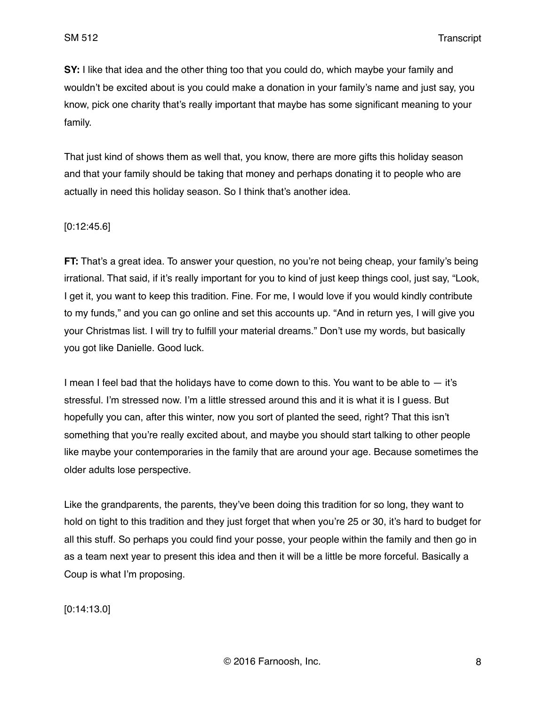**SY:** I like that idea and the other thing too that you could do, which maybe your family and wouldn't be excited about is you could make a donation in your family's name and just say, you know, pick one charity that's really important that maybe has some significant meaning to your family.

That just kind of shows them as well that, you know, there are more gifts this holiday season and that your family should be taking that money and perhaps donating it to people who are actually in need this holiday season. So I think that's another idea.

#### [0:12:45.6]

**FT:** That's a great idea. To answer your question, no you're not being cheap, your family's being irrational. That said, if it's really important for you to kind of just keep things cool, just say, "Look, I get it, you want to keep this tradition. Fine. For me, I would love if you would kindly contribute to my funds," and you can go online and set this accounts up. "And in return yes, I will give you your Christmas list. I will try to fulfill your material dreams." Don't use my words, but basically you got like Danielle. Good luck.

I mean I feel bad that the holidays have to come down to this. You want to be able to  $-$  it's stressful. I'm stressed now. I'm a little stressed around this and it is what it is I guess. But hopefully you can, after this winter, now you sort of planted the seed, right? That this isn't something that you're really excited about, and maybe you should start talking to other people like maybe your contemporaries in the family that are around your age. Because sometimes the older adults lose perspective.

Like the grandparents, the parents, they've been doing this tradition for so long, they want to hold on tight to this tradition and they just forget that when you're 25 or 30, it's hard to budget for all this stuff. So perhaps you could find your posse, your people within the family and then go in as a team next year to present this idea and then it will be a little be more forceful. Basically a Coup is what I'm proposing.

[0:14:13.0]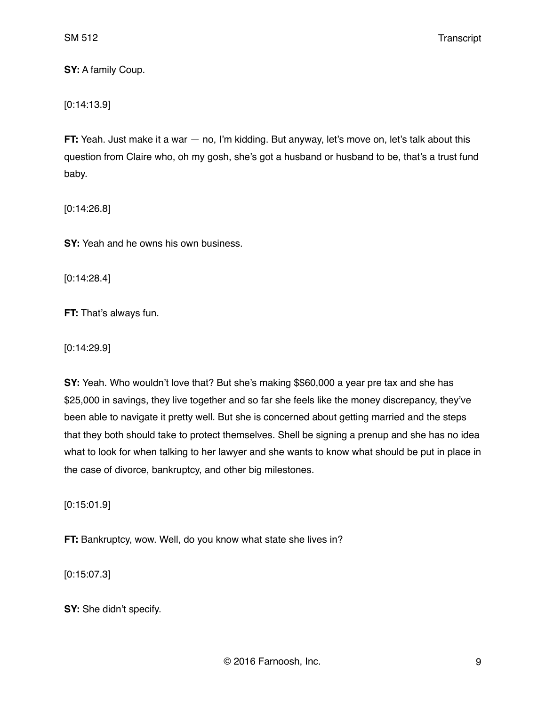**SY:** A family Coup.

[0:14:13.9]

**FT:** Yeah. Just make it a war — no, I'm kidding. But anyway, let's move on, let's talk about this question from Claire who, oh my gosh, she's got a husband or husband to be, that's a trust fund baby.

[0:14:26.8]

**SY:** Yeah and he owns his own business.

[0:14:28.4]

**FT:** That's always fun.

[0:14:29.9]

**SY:** Yeah. Who wouldn't love that? But she's making \$\$60,000 a year pre tax and she has \$25,000 in savings, they live together and so far she feels like the money discrepancy, they've been able to navigate it pretty well. But she is concerned about getting married and the steps that they both should take to protect themselves. Shell be signing a prenup and she has no idea what to look for when talking to her lawyer and she wants to know what should be put in place in the case of divorce, bankruptcy, and other big milestones.

[0:15:01.9]

**FT:** Bankruptcy, wow. Well, do you know what state she lives in?

[0:15:07.3]

**SY:** She didn't specify.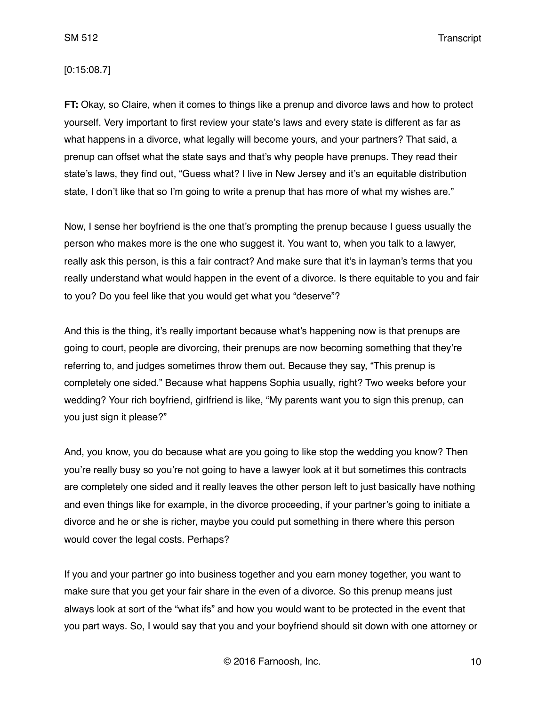#### [0:15:08.7]

**FT:** Okay, so Claire, when it comes to things like a prenup and divorce laws and how to protect yourself. Very important to first review your state's laws and every state is different as far as what happens in a divorce, what legally will become yours, and your partners? That said, a prenup can offset what the state says and that's why people have prenups. They read their state's laws, they find out, "Guess what? I live in New Jersey and it's an equitable distribution state, I don't like that so I'm going to write a prenup that has more of what my wishes are."

Now, I sense her boyfriend is the one that's prompting the prenup because I guess usually the person who makes more is the one who suggest it. You want to, when you talk to a lawyer, really ask this person, is this a fair contract? And make sure that it's in layman's terms that you really understand what would happen in the event of a divorce. Is there equitable to you and fair to you? Do you feel like that you would get what you "deserve"?

And this is the thing, it's really important because what's happening now is that prenups are going to court, people are divorcing, their prenups are now becoming something that they're referring to, and judges sometimes throw them out. Because they say, "This prenup is completely one sided." Because what happens Sophia usually, right? Two weeks before your wedding? Your rich boyfriend, girlfriend is like, "My parents want you to sign this prenup, can you just sign it please?"

And, you know, you do because what are you going to like stop the wedding you know? Then you're really busy so you're not going to have a lawyer look at it but sometimes this contracts are completely one sided and it really leaves the other person left to just basically have nothing and even things like for example, in the divorce proceeding, if your partner's going to initiate a divorce and he or she is richer, maybe you could put something in there where this person would cover the legal costs. Perhaps?

If you and your partner go into business together and you earn money together, you want to make sure that you get your fair share in the even of a divorce. So this prenup means just always look at sort of the "what ifs" and how you would want to be protected in the event that you part ways. So, I would say that you and your boyfriend should sit down with one attorney or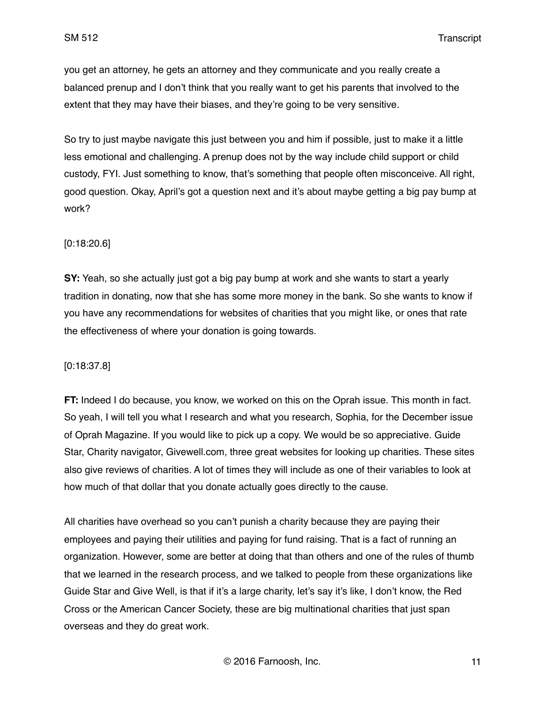you get an attorney, he gets an attorney and they communicate and you really create a balanced prenup and I don't think that you really want to get his parents that involved to the extent that they may have their biases, and they're going to be very sensitive.

So try to just maybe navigate this just between you and him if possible, just to make it a little less emotional and challenging. A prenup does not by the way include child support or child custody, FYI. Just something to know, that's something that people often misconceive. All right, good question. Okay, April's got a question next and it's about maybe getting a big pay bump at work?

### [0:18:20.6]

**SY:** Yeah, so she actually just got a big pay bump at work and she wants to start a yearly tradition in donating, now that she has some more money in the bank. So she wants to know if you have any recommendations for websites of charities that you might like, or ones that rate the effectiveness of where your donation is going towards.

### [0:18:37.8]

**FT:** Indeed I do because, you know, we worked on this on the Oprah issue. This month in fact. So yeah, I will tell you what I research and what you research, Sophia, for the December issue of Oprah Magazine. If you would like to pick up a copy. We would be so appreciative. Guide Star, Charity navigator, Givewell.com, three great websites for looking up charities. These sites also give reviews of charities. A lot of times they will include as one of their variables to look at how much of that dollar that you donate actually goes directly to the cause.

All charities have overhead so you can't punish a charity because they are paying their employees and paying their utilities and paying for fund raising. That is a fact of running an organization. However, some are better at doing that than others and one of the rules of thumb that we learned in the research process, and we talked to people from these organizations like Guide Star and Give Well, is that if it's a large charity, let's say it's like, I don't know, the Red Cross or the American Cancer Society, these are big multinational charities that just span overseas and they do great work.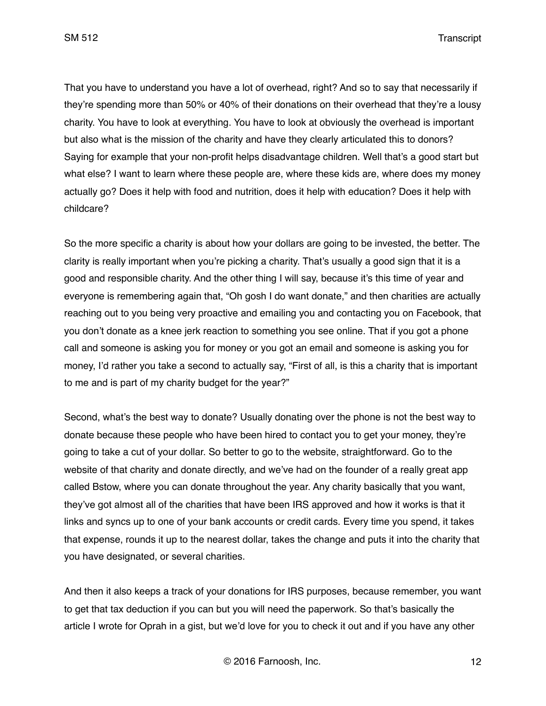That you have to understand you have a lot of overhead, right? And so to say that necessarily if they're spending more than 50% or 40% of their donations on their overhead that they're a lousy charity. You have to look at everything. You have to look at obviously the overhead is important but also what is the mission of the charity and have they clearly articulated this to donors? Saying for example that your non-profit helps disadvantage children. Well that's a good start but what else? I want to learn where these people are, where these kids are, where does my money actually go? Does it help with food and nutrition, does it help with education? Does it help with childcare?

So the more specific a charity is about how your dollars are going to be invested, the better. The clarity is really important when you're picking a charity. That's usually a good sign that it is a good and responsible charity. And the other thing I will say, because it's this time of year and everyone is remembering again that, "Oh gosh I do want donate," and then charities are actually reaching out to you being very proactive and emailing you and contacting you on Facebook, that you don't donate as a knee jerk reaction to something you see online. That if you got a phone call and someone is asking you for money or you got an email and someone is asking you for money, I'd rather you take a second to actually say, "First of all, is this a charity that is important to me and is part of my charity budget for the year?"

Second, what's the best way to donate? Usually donating over the phone is not the best way to donate because these people who have been hired to contact you to get your money, they're going to take a cut of your dollar. So better to go to the website, straightforward. Go to the website of that charity and donate directly, and we've had on the founder of a really great app called Bstow, where you can donate throughout the year. Any charity basically that you want, they've got almost all of the charities that have been IRS approved and how it works is that it links and syncs up to one of your bank accounts or credit cards. Every time you spend, it takes that expense, rounds it up to the nearest dollar, takes the change and puts it into the charity that you have designated, or several charities.

And then it also keeps a track of your donations for IRS purposes, because remember, you want to get that tax deduction if you can but you will need the paperwork. So that's basically the article I wrote for Oprah in a gist, but we'd love for you to check it out and if you have any other

© 2016 Farnoosh, Inc. 12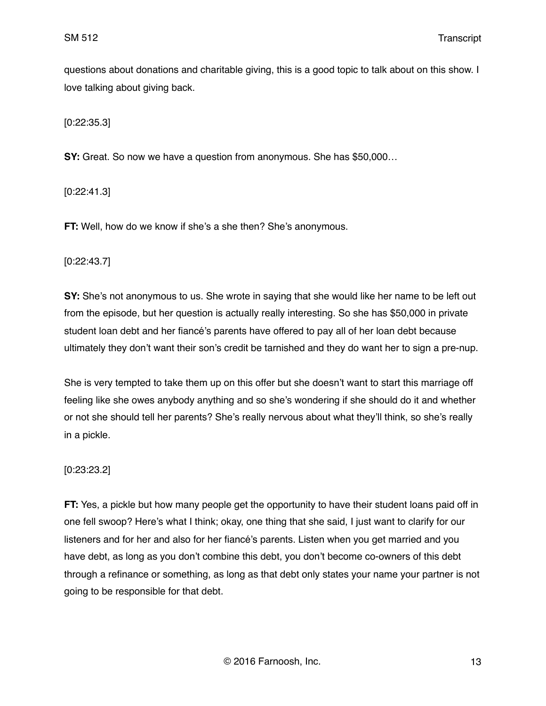questions about donations and charitable giving, this is a good topic to talk about on this show. I love talking about giving back.

[0:22:35.3]

**SY:** Great. So now we have a question from anonymous. She has \$50,000…

[0:22:41.3]

**FT:** Well, how do we know if she's a she then? She's anonymous.

[0:22:43.7]

**SY:** She's not anonymous to us. She wrote in saying that she would like her name to be left out from the episode, but her question is actually really interesting. So she has \$50,000 in private student loan debt and her fiancé's parents have offered to pay all of her loan debt because ultimately they don't want their son's credit be tarnished and they do want her to sign a pre-nup.

She is very tempted to take them up on this offer but she doesn't want to start this marriage off feeling like she owes anybody anything and so she's wondering if she should do it and whether or not she should tell her parents? She's really nervous about what they'll think, so she's really in a pickle.

### [0:23:23.2]

**FT:** Yes, a pickle but how many people get the opportunity to have their student loans paid off in one fell swoop? Here's what I think; okay, one thing that she said, I just want to clarify for our listeners and for her and also for her fiancé's parents. Listen when you get married and you have debt, as long as you don't combine this debt, you don't become co-owners of this debt through a refinance or something, as long as that debt only states your name your partner is not going to be responsible for that debt.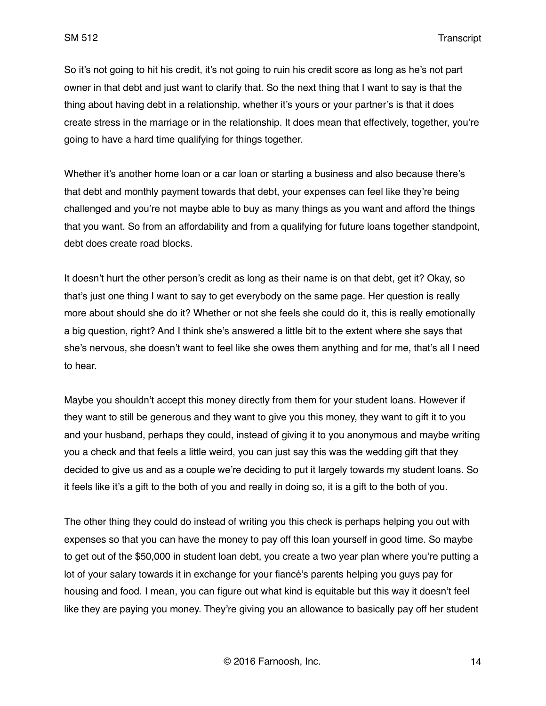So it's not going to hit his credit, it's not going to ruin his credit score as long as he's not part owner in that debt and just want to clarify that. So the next thing that I want to say is that the thing about having debt in a relationship, whether it's yours or your partner's is that it does create stress in the marriage or in the relationship. It does mean that effectively, together, you're going to have a hard time qualifying for things together.

Whether it's another home loan or a car loan or starting a business and also because there's that debt and monthly payment towards that debt, your expenses can feel like they're being challenged and you're not maybe able to buy as many things as you want and afford the things that you want. So from an affordability and from a qualifying for future loans together standpoint, debt does create road blocks.

It doesn't hurt the other person's credit as long as their name is on that debt, get it? Okay, so that's just one thing I want to say to get everybody on the same page. Her question is really more about should she do it? Whether or not she feels she could do it, this is really emotionally a big question, right? And I think she's answered a little bit to the extent where she says that she's nervous, she doesn't want to feel like she owes them anything and for me, that's all I need to hear.

Maybe you shouldn't accept this money directly from them for your student loans. However if they want to still be generous and they want to give you this money, they want to gift it to you and your husband, perhaps they could, instead of giving it to you anonymous and maybe writing you a check and that feels a little weird, you can just say this was the wedding gift that they decided to give us and as a couple we're deciding to put it largely towards my student loans. So it feels like it's a gift to the both of you and really in doing so, it is a gift to the both of you.

The other thing they could do instead of writing you this check is perhaps helping you out with expenses so that you can have the money to pay off this loan yourself in good time. So maybe to get out of the \$50,000 in student loan debt, you create a two year plan where you're putting a lot of your salary towards it in exchange for your fiancé's parents helping you guys pay for housing and food. I mean, you can figure out what kind is equitable but this way it doesn't feel like they are paying you money. They're giving you an allowance to basically pay off her student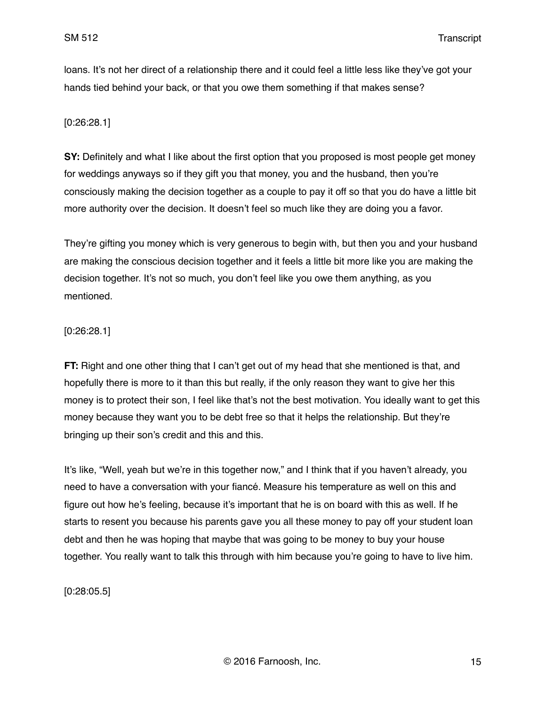loans. It's not her direct of a relationship there and it could feel a little less like they've got your hands tied behind your back, or that you owe them something if that makes sense?

## [0:26:28.1]

**SY:** Definitely and what I like about the first option that you proposed is most people get money for weddings anyways so if they gift you that money, you and the husband, then you're consciously making the decision together as a couple to pay it off so that you do have a little bit more authority over the decision. It doesn't feel so much like they are doing you a favor.

They're gifting you money which is very generous to begin with, but then you and your husband are making the conscious decision together and it feels a little bit more like you are making the decision together. It's not so much, you don't feel like you owe them anything, as you mentioned.

## [0:26:28.1]

**FT:** Right and one other thing that I can't get out of my head that she mentioned is that, and hopefully there is more to it than this but really, if the only reason they want to give her this money is to protect their son, I feel like that's not the best motivation. You ideally want to get this money because they want you to be debt free so that it helps the relationship. But they're bringing up their son's credit and this and this.

It's like, "Well, yeah but we're in this together now," and I think that if you haven't already, you need to have a conversation with your fiancé. Measure his temperature as well on this and figure out how he's feeling, because it's important that he is on board with this as well. If he starts to resent you because his parents gave you all these money to pay off your student loan debt and then he was hoping that maybe that was going to be money to buy your house together. You really want to talk this through with him because you're going to have to live him.

[0:28:05.5]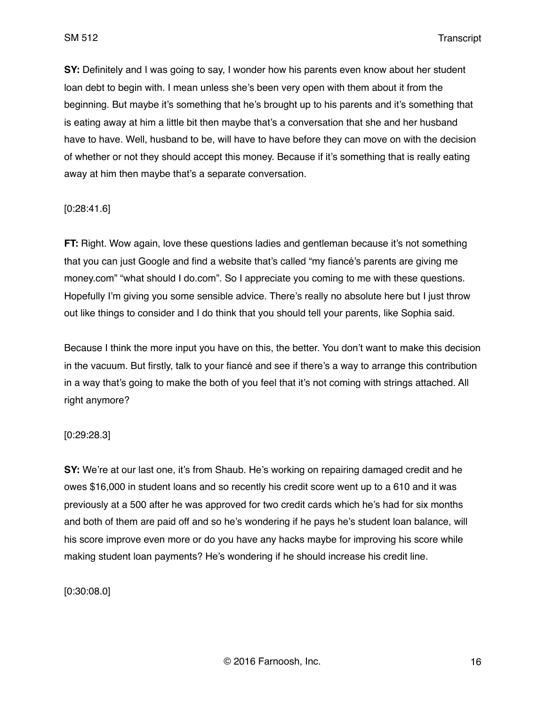**SY:** Definitely and I was going to say, I wonder how his parents even know about her student loan debt to begin with. I mean unless she's been very open with them about it from the beginning. But maybe it's something that he's brought up to his parents and it's something that is eating away at him a little bit then maybe that's a conversation that she and her husband have to have. Well, husband to be, will have to have before they can move on with the decision of whether or not they should accept this money. Because if it's something that is really eating away at him then maybe that's a separate conversation.

#### [0:28:41.6]

**FT:** Right. Wow again, love these questions ladies and gentleman because it's not something that you can just Google and find a website that's called "my fiancé's parents are giving me money.com" "what should I do.com". So I appreciate you coming to me with these questions. Hopefully I'm giving you some sensible advice. There's really no absolute here but I just throw out like things to consider and I do think that you should tell your parents, like Sophia said.

Because I think the more input you have on this, the better. You don't want to make this decision in the vacuum. But firstly, talk to your fiancé and see if there's a way to arrange this contribution in a way that's going to make the both of you feel that it's not coming with strings attached. All right anymore?

#### [0:29:28.3]

**SY:** We're at our last one, it's from Shaub. He's working on repairing damaged credit and he owes \$16,000 in student loans and so recently his credit score went up to a 610 and it was previously at a 500 after he was approved for two credit cards which he's had for six months and both of them are paid off and so he's wondering if he pays he's student loan balance, will his score improve even more or do you have any hacks maybe for improving his score while making student loan payments? He's wondering if he should increase his credit line.

[0:30:08.0]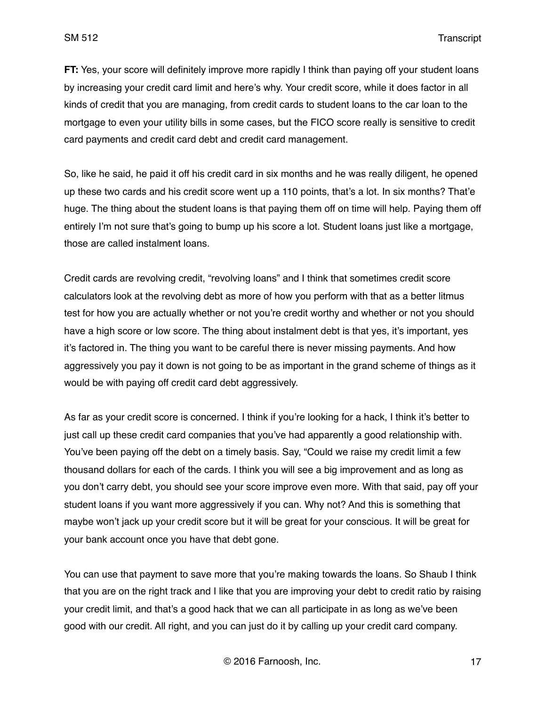**FT:** Yes, your score will definitely improve more rapidly I think than paying off your student loans by increasing your credit card limit and here's why. Your credit score, while it does factor in all kinds of credit that you are managing, from credit cards to student loans to the car loan to the mortgage to even your utility bills in some cases, but the FICO score really is sensitive to credit card payments and credit card debt and credit card management.

So, like he said, he paid it off his credit card in six months and he was really diligent, he opened up these two cards and his credit score went up a 110 points, that's a lot. In six months? That'e huge. The thing about the student loans is that paying them off on time will help. Paying them off entirely I'm not sure that's going to bump up his score a lot. Student loans just like a mortgage, those are called instalment loans.

Credit cards are revolving credit, "revolving loans" and I think that sometimes credit score calculators look at the revolving debt as more of how you perform with that as a better litmus test for how you are actually whether or not you're credit worthy and whether or not you should have a high score or low score. The thing about instalment debt is that yes, it's important, yes it's factored in. The thing you want to be careful there is never missing payments. And how aggressively you pay it down is not going to be as important in the grand scheme of things as it would be with paying off credit card debt aggressively.

As far as your credit score is concerned. I think if you're looking for a hack, I think it's better to just call up these credit card companies that you've had apparently a good relationship with. You've been paying off the debt on a timely basis. Say, "Could we raise my credit limit a few thousand dollars for each of the cards. I think you will see a big improvement and as long as you don't carry debt, you should see your score improve even more. With that said, pay off your student loans if you want more aggressively if you can. Why not? And this is something that maybe won't jack up your credit score but it will be great for your conscious. It will be great for your bank account once you have that debt gone.

You can use that payment to save more that you're making towards the loans. So Shaub I think that you are on the right track and I like that you are improving your debt to credit ratio by raising your credit limit, and that's a good hack that we can all participate in as long as we've been good with our credit. All right, and you can just do it by calling up your credit card company.